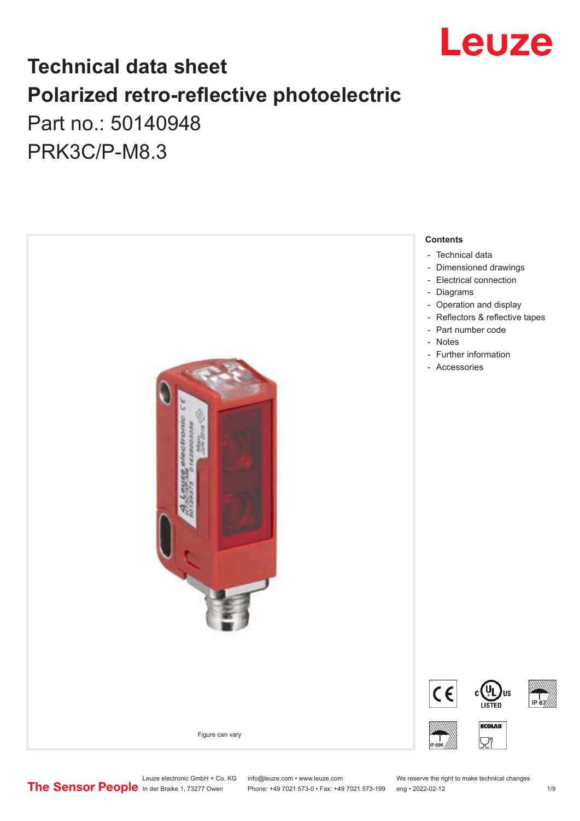

# **Technical data sheet Polarized retro-reflective photoelectric**  Part no.: 50140948

PRK3C/P-M8.3



Leuze electronic GmbH + Co. KG info@leuze.com • www.leuze.com We reserve the right to make technical changes<br>
The Sensor People in der Braike 1, 73277 Owen Phone: +49 7021 573-0 • Fax: +49 7021 573-199 eng • 2022-02-12

Phone: +49 7021 573-0 • Fax: +49 7021 573-199 eng • 2022-02-12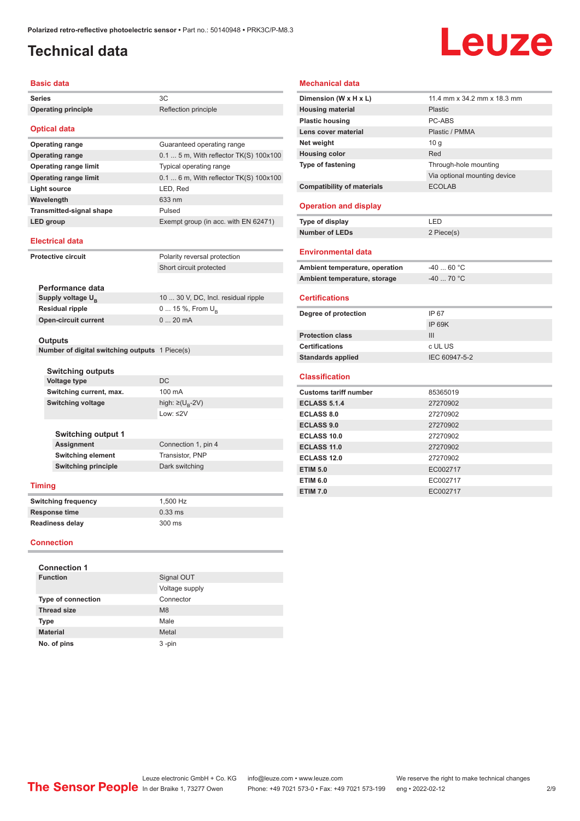### <span id="page-1-0"></span>**Technical data**

# Leuze

#### **Basic data**

| Series                                                    | 3C                                      |  |  |
|-----------------------------------------------------------|-----------------------------------------|--|--|
| <b>Operating principle</b>                                | Reflection principle                    |  |  |
| <b>Optical data</b>                                       |                                         |  |  |
| <b>Operating range</b>                                    | Guaranteed operating range              |  |  |
| <b>Operating range</b>                                    | $0.1$ 5 m, With reflector TK(S) 100x100 |  |  |
| <b>Operating range limit</b>                              | Typical operating range                 |  |  |
| <b>Operating range limit</b>                              | 0.1  6 m, With reflector TK(S) 100x100  |  |  |
| <b>Light source</b>                                       | LED, Red                                |  |  |
| Wavelength                                                | 633 nm                                  |  |  |
| <b>Transmitted-signal shape</b>                           | Pulsed                                  |  |  |
| LED group                                                 | Exempt group (in acc. with EN 62471)    |  |  |
| <b>Electrical data</b>                                    |                                         |  |  |
| <b>Protective circuit</b>                                 | Polarity reversal protection            |  |  |
|                                                           | Short circuit protected                 |  |  |
|                                                           |                                         |  |  |
| Performance data                                          |                                         |  |  |
| Supply voltage U <sub>R</sub>                             | 10  30 V, DC, Incl. residual ripple     |  |  |
| <b>Residual ripple</b>                                    | 0  15 %, From $U_{\rm B}$               |  |  |
| <b>Open-circuit current</b>                               | $020$ mA                                |  |  |
|                                                           |                                         |  |  |
| Outputs<br>Number of digital switching outputs 1 Piece(s) |                                         |  |  |
|                                                           |                                         |  |  |
| <b>Switching outputs</b>                                  |                                         |  |  |
| <b>Voltage type</b>                                       | DC                                      |  |  |
| Switching current, max.                                   | 100 mA                                  |  |  |
| <b>Switching voltage</b>                                  | high: $\geq (U_{B} - 2V)$               |  |  |
|                                                           | Low: $\leq$ 2V                          |  |  |
|                                                           |                                         |  |  |
| <b>Switching output 1</b>                                 |                                         |  |  |
| <b>Assignment</b>                                         | Connection 1, pin 4                     |  |  |
| <b>Switching element</b>                                  | Transistor, PNP                         |  |  |
| <b>Switching principle</b>                                | Dark switching                          |  |  |
| <b>Timing</b>                                             |                                         |  |  |
| <b>Switching frequency</b>                                | 1,500 Hz                                |  |  |
| Response time                                             | $0.33$ ms                               |  |  |
| Readiness delay                                           | 300 ms                                  |  |  |
| Connection                                                |                                         |  |  |

### **Mechanical data Dimension (W x H x L)** 11.4 mm x 34.2 mm x 18.3 mm

| <b>Housing material</b>           | <b>Plastic</b>               |
|-----------------------------------|------------------------------|
| <b>Plastic housing</b>            | PC-ABS                       |
| Lens cover material               | Plastic / PMMA               |
| Net weight                        | 10q                          |
| <b>Housing color</b>              | Red                          |
| Type of fastening                 | Through-hole mounting        |
|                                   | Via optional mounting device |
| <b>Compatibility of materials</b> | <b>ECOLAB</b>                |
|                                   |                              |
| <b>Operation and display</b>      |                              |
| Type of display                   | LED                          |
| <b>Number of LEDs</b>             | 2 Piece(s)                   |
|                                   |                              |
| <b>Environmental data</b>         |                              |
| Ambient temperature, operation    | $-40$ 60 °C                  |
| Ambient temperature, storage      | $-4070 °C$                   |
| <b>Certifications</b>             |                              |
|                                   |                              |
|                                   |                              |
| Degree of protection              | IP 67                        |
|                                   | <b>IP 69K</b>                |
| <b>Protection class</b>           | III                          |
| <b>Certifications</b>             | c UL US                      |
| <b>Standards applied</b>          | IEC 60947-5-2                |
|                                   |                              |
| <b>Classification</b>             |                              |
| <b>Customs tariff number</b>      | 85365019                     |
| <b>ECLASS 5.1.4</b>               | 27270902                     |
| <b>ECLASS 8.0</b>                 | 27270902                     |
| <b>ECLASS 9.0</b>                 | 27270902                     |
| <b>ECLASS 10.0</b>                | 27270902                     |
| ECLASS 11.0                       | 27270902                     |
| <b>ECLASS 12.0</b>                | 27270902                     |
| <b>ETIM 5.0</b>                   | EC002717                     |
| <b>ETIM 6.0</b>                   | EC002717                     |

#### **Connection**

| <b>Connection 1</b>       |                |  |  |  |
|---------------------------|----------------|--|--|--|
| <b>Function</b>           | Signal OUT     |  |  |  |
|                           | Voltage supply |  |  |  |
| <b>Type of connection</b> | Connector      |  |  |  |
| <b>Thread size</b>        | M <sub>8</sub> |  |  |  |
| <b>Type</b>               | Male           |  |  |  |
| <b>Material</b>           | Metal          |  |  |  |
| No. of pins               | $3 - pin$      |  |  |  |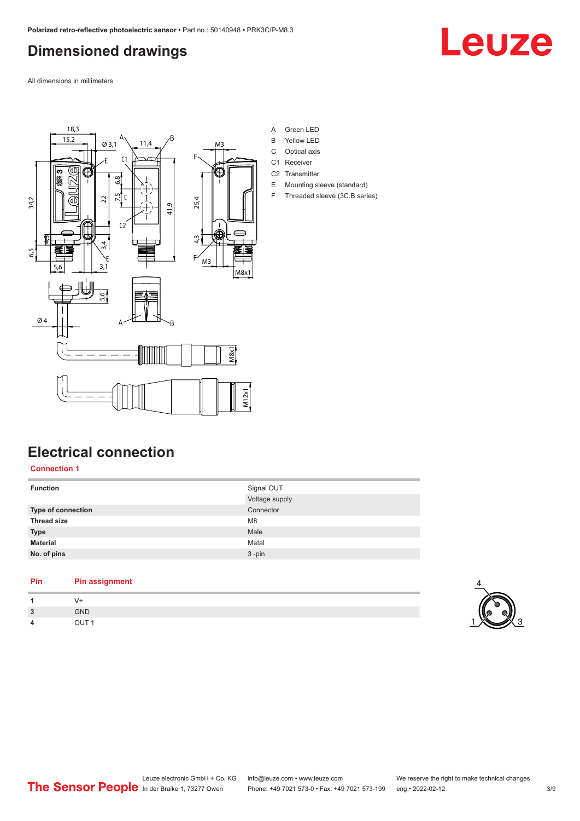## <span id="page-2-0"></span>**Dimensioned drawings**

Leuze

All dimensions in millimeters



- A Green LED
- B Yellow LED
- C Optical axis
- C1 Receiver
- C2 Transmitter
- E Mounting sleeve (standard) F Threaded sleeve (3C.B series)

## **Electrical connection**

### **Connection 1**

| Signal OUT     |
|----------------|
| Voltage supply |
| Connector      |
| M <sub>8</sub> |
| Male           |
| Metal          |
| $3 - pin$      |
|                |

### **Pin Pin assignment**

| $\overline{1}$ | $V +$            |
|----------------|------------------|
| $\overline{3}$ | GND              |
| $\overline{4}$ | OUT <sub>1</sub> |
|                |                  |

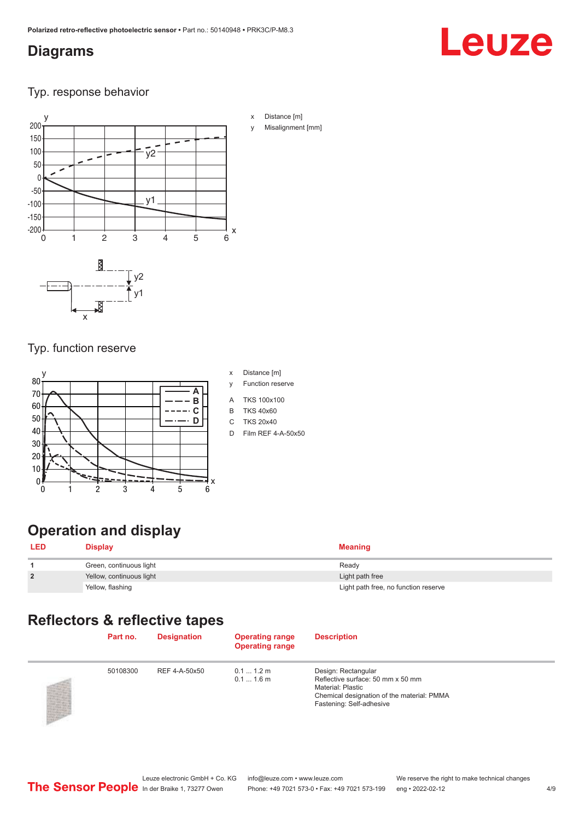### <span id="page-3-0"></span>**Diagrams**

# Leuze

### Typ. response behavior



## Typ. function reserve

#### y 0 x 10 20 30 50 60 70 80 40 0 1 2 4 3 5 6 **A B**  $- \cdot c$ **D**

- x Distance [m]
- y Function reserve
- A TKS 100x100
- B TKS 40x60
- C TKS 20x40
- D Film REF 4-A-50x50

## **Operation and display**

| <b>LED</b>     | <b>Display</b>           | <b>Meaning</b>                       |
|----------------|--------------------------|--------------------------------------|
|                | Green, continuous light  | Ready                                |
| $\overline{2}$ | Yellow, continuous light | Light path free                      |
|                | Yellow, flashing         | Light path free, no function reserve |

## **Reflectors & reflective tapes**

| Part no. | <b>Designation</b> | <b>Operating range</b><br><b>Operating range</b> | <b>Description</b>                                                                                                                                             |
|----------|--------------------|--------------------------------------------------|----------------------------------------------------------------------------------------------------------------------------------------------------------------|
| 50108300 | REF 4-A-50x50      | $0.11.2$ m<br>$0.11.6$ m                         | Design: Rectangular<br>Reflective surface: 50 mm x 50 mm<br><b>Material: Plastic</b><br>Chemical designation of the material: PMMA<br>Fastening: Self-adhesive |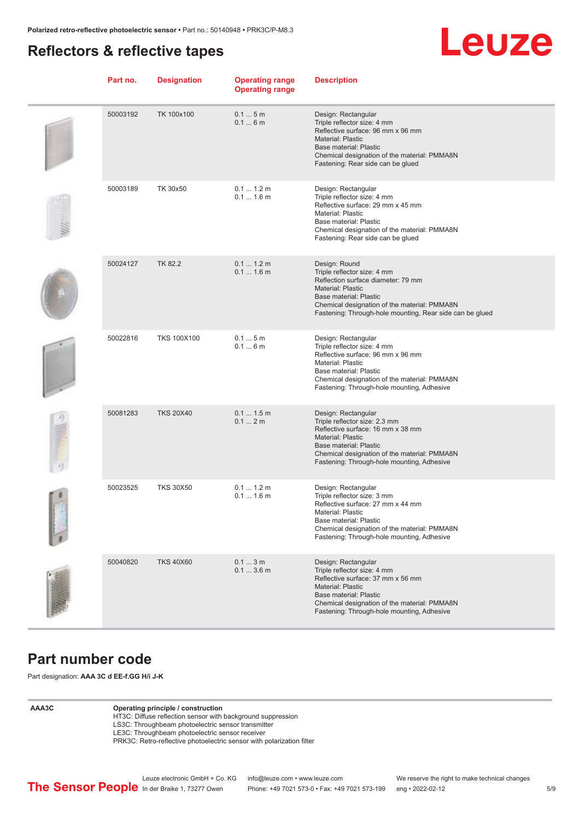### <span id="page-4-0"></span>**Reflectors & reflective tapes**

# Leuze

| Part no. | <b>Designation</b> | <b>Operating range</b><br><b>Operating range</b> | <b>Description</b>                                                                                                                                                                                                                                   |
|----------|--------------------|--------------------------------------------------|------------------------------------------------------------------------------------------------------------------------------------------------------------------------------------------------------------------------------------------------------|
| 50003192 | TK 100x100         | 0.15m<br>0.16m                                   | Design: Rectangular<br>Triple reflector size: 4 mm<br>Reflective surface: 96 mm x 96 mm<br><b>Material: Plastic</b><br>Base material: Plastic<br>Chemical designation of the material: PMMA8N<br>Fastening: Rear side can be glued                   |
| 50003189 | TK 30x50           | 0.1 1.2 m<br>$0.11.6$ m                          | Design: Rectangular<br>Triple reflector size: 4 mm<br>Reflective surface: 29 mm x 45 mm<br>Material: Plastic<br>Base material: Plastic<br>Chemical designation of the material: PMMA8N<br>Fastening: Rear side can be glued                          |
| 50024127 | <b>TK 82.2</b>     | 0.1 1.2 m<br>$0.11.6$ m                          | Design: Round<br>Triple reflector size: 4 mm<br>Reflection surface diameter: 79 mm<br><b>Material: Plastic</b><br>Base material: Plastic<br>Chemical designation of the material: PMMA8N<br>Fastening: Through-hole mounting, Rear side can be glued |
| 50022816 | <b>TKS 100X100</b> | 0.15m<br>0.16m                                   | Design: Rectangular<br>Triple reflector size: 4 mm<br>Reflective surface: 96 mm x 96 mm<br><b>Material: Plastic</b><br>Base material: Plastic<br>Chemical designation of the material: PMMA8N<br>Fastening: Through-hole mounting, Adhesive          |
| 50081283 | <b>TKS 20X40</b>   | 0.11.5m<br>0.12m                                 | Design: Rectangular<br>Triple reflector size: 2.3 mm<br>Reflective surface: 16 mm x 38 mm<br><b>Material: Plastic</b><br>Base material: Plastic<br>Chemical designation of the material: PMMA8N<br>Fastening: Through-hole mounting, Adhesive        |
| 50023525 | <b>TKS 30X50</b>   | 0.1 1.2 m<br>$0.11.6$ m                          | Design: Rectangular<br>Triple reflector size: 3 mm<br>Reflective surface: 27 mm x 44 mm<br>Material: Plastic<br>Base material: Plastic<br>Chemical designation of the material: PMMA8N<br>Fastening: Through-hole mounting, Adhesive                 |
| 50040820 | <b>TKS 40X60</b>   | 0.13m<br>0.13.6m                                 | Design: Rectangular<br>Triple reflector size: 4 mm<br>Reflective surface: 37 mm x 56 mm<br><b>Material: Plastic</b><br><b>Base material: Plastic</b><br>Chemical designation of the material: PMMA8N<br>Fastening: Through-hole mounting, Adhesive   |

### **Part number code**

Part designation: **AAA 3C d EE-f.GG H/i J-K**

### **AAA3C Operating principle / construction**

HT3C: Diffuse reflection sensor with background suppression LS3C: Throughbeam photoelectric sensor transmitter

LE3C: Throughbeam photoelectric sensor receiver

PRK3C: Retro-reflective photoelectric sensor with polarization filter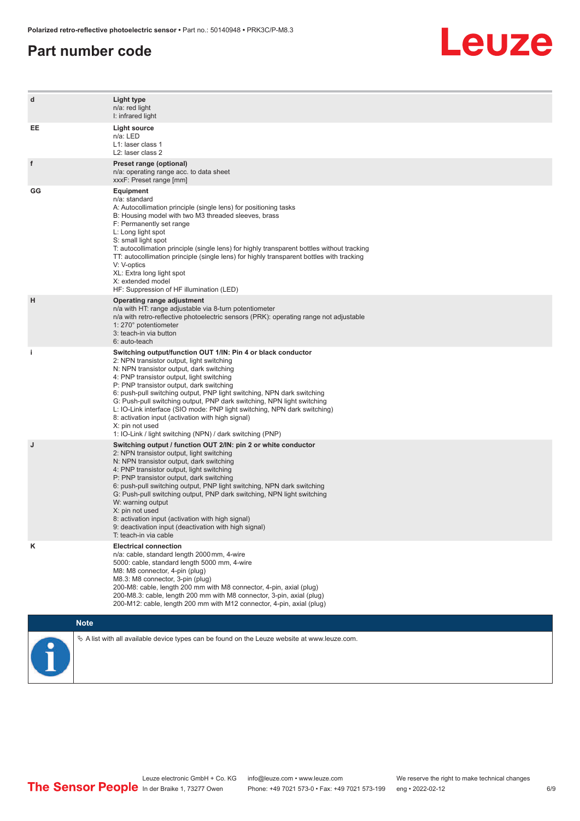### **Part number code**



| d  | Light type<br>n/a: red light<br>I: infrared light                                                                                                                                                                                                                                                                                                                                                                                                                                                                                                                                                                   |
|----|---------------------------------------------------------------------------------------------------------------------------------------------------------------------------------------------------------------------------------------------------------------------------------------------------------------------------------------------------------------------------------------------------------------------------------------------------------------------------------------------------------------------------------------------------------------------------------------------------------------------|
| EE | <b>Light source</b><br>n/a: LED<br>L1: laser class 1<br>L <sub>2</sub> : laser class 2                                                                                                                                                                                                                                                                                                                                                                                                                                                                                                                              |
| f  | Preset range (optional)<br>n/a: operating range acc. to data sheet<br>xxxF: Preset range [mm]                                                                                                                                                                                                                                                                                                                                                                                                                                                                                                                       |
| GG | <b>Equipment</b><br>n/a: standard<br>A: Autocollimation principle (single lens) for positioning tasks<br>B: Housing model with two M3 threaded sleeves, brass<br>F: Permanently set range<br>L: Long light spot<br>S: small light spot<br>T: autocollimation principle (single lens) for highly transparent bottles without tracking<br>TT: autocollimation principle (single lens) for highly transparent bottles with tracking<br>V: V-optics<br>XL: Extra long light spot<br>X: extended model<br>HF: Suppression of HF illumination (LED)                                                                       |
| н  | Operating range adjustment<br>n/a with HT: range adjustable via 8-turn potentiometer<br>n/a with retro-reflective photoelectric sensors (PRK): operating range not adjustable<br>1: 270° potentiometer<br>3: teach-in via button<br>6: auto-teach                                                                                                                                                                                                                                                                                                                                                                   |
| i. | Switching output/function OUT 1/IN: Pin 4 or black conductor<br>2: NPN transistor output, light switching<br>N: NPN transistor output, dark switching<br>4: PNP transistor output, light switching<br>P: PNP transistor output, dark switching<br>6: push-pull switching output, PNP light switching, NPN dark switching<br>G: Push-pull switching output, PNP dark switching, NPN light switching<br>L: IO-Link interface (SIO mode: PNP light switching, NPN dark switching)<br>8: activation input (activation with high signal)<br>X: pin not used<br>1: IO-Link / light switching (NPN) / dark switching (PNP) |
| J  | Switching output / function OUT 2/IN: pin 2 or white conductor<br>2: NPN transistor output, light switching<br>N: NPN transistor output, dark switching<br>4: PNP transistor output, light switching<br>P: PNP transistor output, dark switching<br>6: push-pull switching output, PNP light switching, NPN dark switching<br>G: Push-pull switching output, PNP dark switching, NPN light switching<br>W: warning output<br>X: pin not used<br>8: activation input (activation with high signal)<br>9: deactivation input (deactivation with high signal)<br>T: teach-in via cable                                 |
| κ  | <b>Electrical connection</b><br>n/a: cable, standard length 2000 mm, 4-wire<br>5000: cable, standard length 5000 mm, 4-wire<br>M8: M8 connector, 4-pin (plug)<br>M8.3: M8 connector, 3-pin (plug)<br>200-M8: cable, length 200 mm with M8 connector, 4-pin, axial (plug)<br>200-M8.3: cable, length 200 mm with M8 connector, 3-pin, axial (plug)<br>200-M12: cable, length 200 mm with M12 connector, 4-pin, axial (plug)                                                                                                                                                                                          |
|    | <b>Note</b>                                                                                                                                                                                                                                                                                                                                                                                                                                                                                                                                                                                                         |
|    | $\&$ A list with all available device types can be found on the Leuze website at www.leuze.com.                                                                                                                                                                                                                                                                                                                                                                                                                                                                                                                     |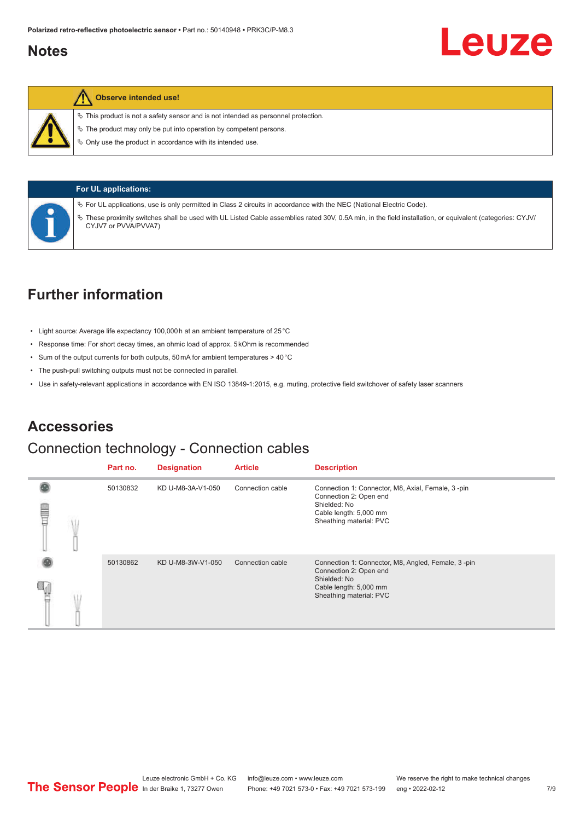### <span id="page-6-0"></span>**Notes**



### **Observe intended use!**

 $\%$  This product is not a safety sensor and is not intended as personnel protection.

 $\ddot{\phi}$  The product may only be put into operation by competent persons.

 $\%$  Only use the product in accordance with its intended use.



### **For UL applications:**

ª For UL applications, use is only permitted in Class 2 circuits in accordance with the NEC (National Electric Code).

ª These proximity switches shall be used with UL Listed Cable assemblies rated 30V, 0.5A min, in the field installation, or equivalent (categories: CYJV/ CYJV7 or PVVA/PVVA7)

### **Further information**

- Light source: Average life expectancy 100,000 h at an ambient temperature of 25 °C
- Response time: For short decay times, an ohmic load of approx. 5 kOhm is recommended
- Sum of the output currents for both outputs, 50 mA for ambient temperatures > 40 °C
- The push-pull switching outputs must not be connected in parallel.
- Use in safety-relevant applications in accordance with EN ISO 13849-1:2015, e.g. muting, protective field switchover of safety laser scanners

### **Accessories**

### Connection technology - Connection cables

|   | Part no. | <b>Designation</b> | <b>Article</b>   | <b>Description</b>                                                                                                                                |
|---|----------|--------------------|------------------|---------------------------------------------------------------------------------------------------------------------------------------------------|
| ŧ | 50130832 | KD U-M8-3A-V1-050  | Connection cable | Connection 1: Connector, M8, Axial, Female, 3-pin<br>Connection 2: Open end<br>Shielded: No<br>Cable length: 5,000 mm<br>Sheathing material: PVC  |
|   | 50130862 | KD U-M8-3W-V1-050  | Connection cable | Connection 1: Connector, M8, Angled, Female, 3-pin<br>Connection 2: Open end<br>Shielded: No<br>Cable length: 5,000 mm<br>Sheathing material: PVC |

Leuze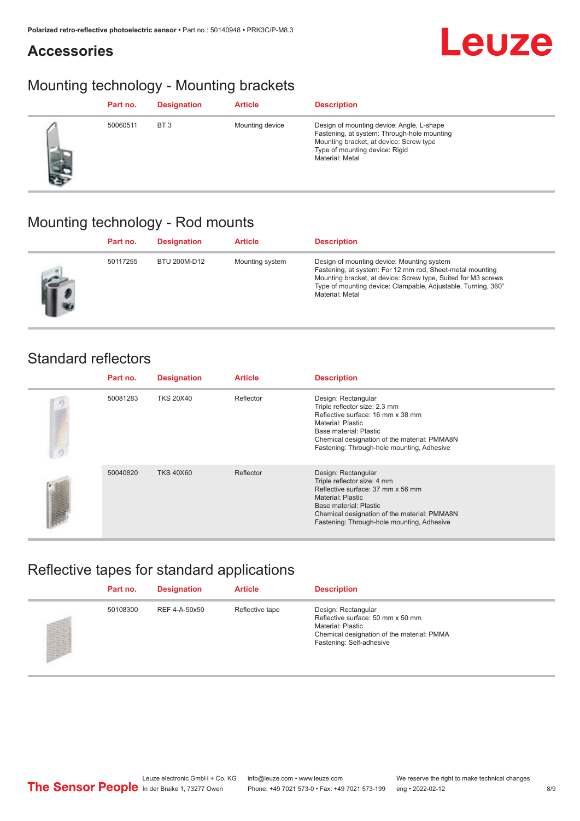## **Accessories**



## Mounting technology - Mounting brackets

| Part no. | <b>Designation</b> | <b>Article</b>  | <b>Description</b>                                                                                                                                                                       |
|----------|--------------------|-----------------|------------------------------------------------------------------------------------------------------------------------------------------------------------------------------------------|
| 50060511 | BT <sub>3</sub>    | Mounting device | Design of mounting device: Angle, L-shape<br>Fastening, at system: Through-hole mounting<br>Mounting bracket, at device: Screw type<br>Type of mounting device: Rigid<br>Material: Metal |

## Mounting technology - Rod mounts

| Part no. | <b>Designation</b> | <b>Article</b>  | <b>Description</b>                                                                                                                                                                                                                                           |
|----------|--------------------|-----------------|--------------------------------------------------------------------------------------------------------------------------------------------------------------------------------------------------------------------------------------------------------------|
| 50117255 | BTU 200M-D12       | Mounting system | Design of mounting device: Mounting system<br>Fastening, at system: For 12 mm rod, Sheet-metal mounting<br>Mounting bracket, at device: Screw type, Suited for M3 screws<br>Type of mounting device: Clampable, Adjustable, Turning, 360°<br>Material: Metal |

### Standard reflectors

| Part no. | <b>Designation</b> | <b>Article</b> | <b>Description</b>                                                                                                                                                                                                                          |
|----------|--------------------|----------------|---------------------------------------------------------------------------------------------------------------------------------------------------------------------------------------------------------------------------------------------|
| 50081283 | <b>TKS 20X40</b>   | Reflector      | Design: Rectangular<br>Triple reflector size: 2.3 mm<br>Reflective surface: 16 mm x 38 mm<br>Material: Plastic<br>Base material: Plastic<br>Chemical designation of the material: PMMA8N<br>Fastening: Through-hole mounting, Adhesive      |
| 50040820 | <b>TKS 40X60</b>   | Reflector      | Design: Rectangular<br>Triple reflector size: 4 mm<br>Reflective surface: 37 mm x 56 mm<br><b>Material: Plastic</b><br>Base material: Plastic<br>Chemical designation of the material: PMMA8N<br>Fastening: Through-hole mounting, Adhesive |

## Reflective tapes for standard applications

| Part no. | <b>Designation</b> | <b>Article</b>  | <b>Description</b>                                                                                                                                             |
|----------|--------------------|-----------------|----------------------------------------------------------------------------------------------------------------------------------------------------------------|
| 50108300 | REF 4-A-50x50      | Reflective tape | Design: Rectangular<br>Reflective surface: 50 mm x 50 mm<br><b>Material: Plastic</b><br>Chemical designation of the material: PMMA<br>Fastening: Self-adhesive |